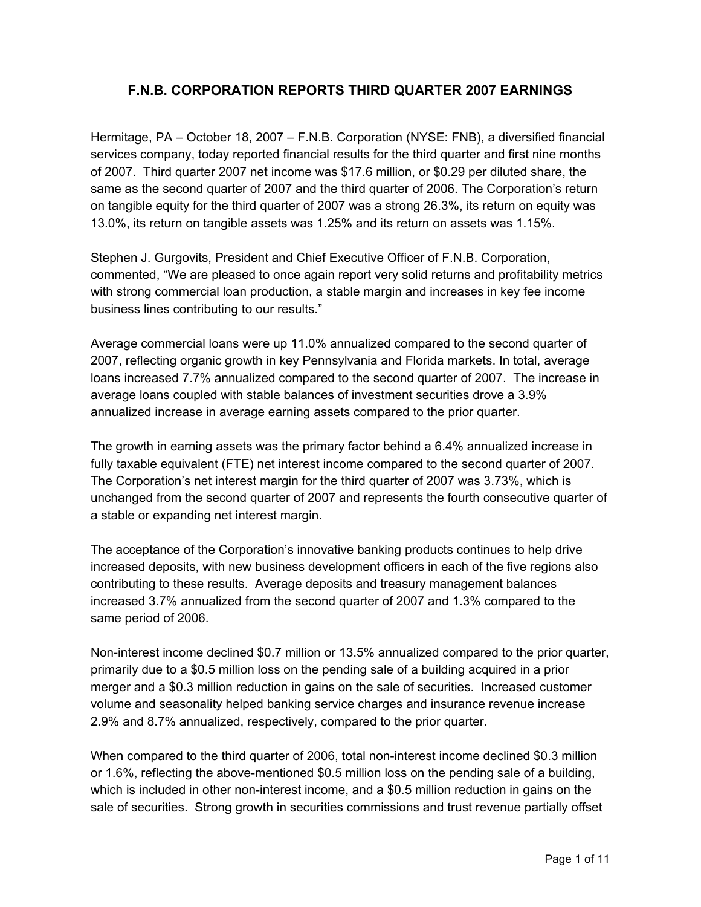# **F.N.B. CORPORATION REPORTS THIRD QUARTER 2007 EARNINGS**

Hermitage, PA – October 18, 2007 – F.N.B. Corporation (NYSE: FNB), a diversified financial services company, today reported financial results for the third quarter and first nine months of 2007. Third quarter 2007 net income was \$17.6 million, or \$0.29 per diluted share, the same as the second quarter of 2007 and the third quarter of 2006. The Corporation's return on tangible equity for the third quarter of 2007 was a strong 26.3%, its return on equity was 13.0%, its return on tangible assets was 1.25% and its return on assets was 1.15%.

Stephen J. Gurgovits, President and Chief Executive Officer of F.N.B. Corporation, commented, "We are pleased to once again report very solid returns and profitability metrics with strong commercial loan production, a stable margin and increases in key fee income business lines contributing to our results."

Average commercial loans were up 11.0% annualized compared to the second quarter of 2007, reflecting organic growth in key Pennsylvania and Florida markets. In total, average loans increased 7.7% annualized compared to the second quarter of 2007. The increase in average loans coupled with stable balances of investment securities drove a 3.9% annualized increase in average earning assets compared to the prior quarter.

The growth in earning assets was the primary factor behind a 6.4% annualized increase in fully taxable equivalent (FTE) net interest income compared to the second quarter of 2007. The Corporation's net interest margin for the third quarter of 2007 was 3.73%, which is unchanged from the second quarter of 2007 and represents the fourth consecutive quarter of a stable or expanding net interest margin.

The acceptance of the Corporation's innovative banking products continues to help drive increased deposits, with new business development officers in each of the five regions also contributing to these results. Average deposits and treasury management balances increased 3.7% annualized from the second quarter of 2007 and 1.3% compared to the same period of 2006.

Non-interest income declined \$0.7 million or 13.5% annualized compared to the prior quarter, primarily due to a \$0.5 million loss on the pending sale of a building acquired in a prior merger and a \$0.3 million reduction in gains on the sale of securities. Increased customer volume and seasonality helped banking service charges and insurance revenue increase 2.9% and 8.7% annualized, respectively, compared to the prior quarter.

When compared to the third quarter of 2006, total non-interest income declined \$0.3 million or 1.6%, reflecting the above-mentioned \$0.5 million loss on the pending sale of a building, which is included in other non-interest income, and a \$0.5 million reduction in gains on the sale of securities. Strong growth in securities commissions and trust revenue partially offset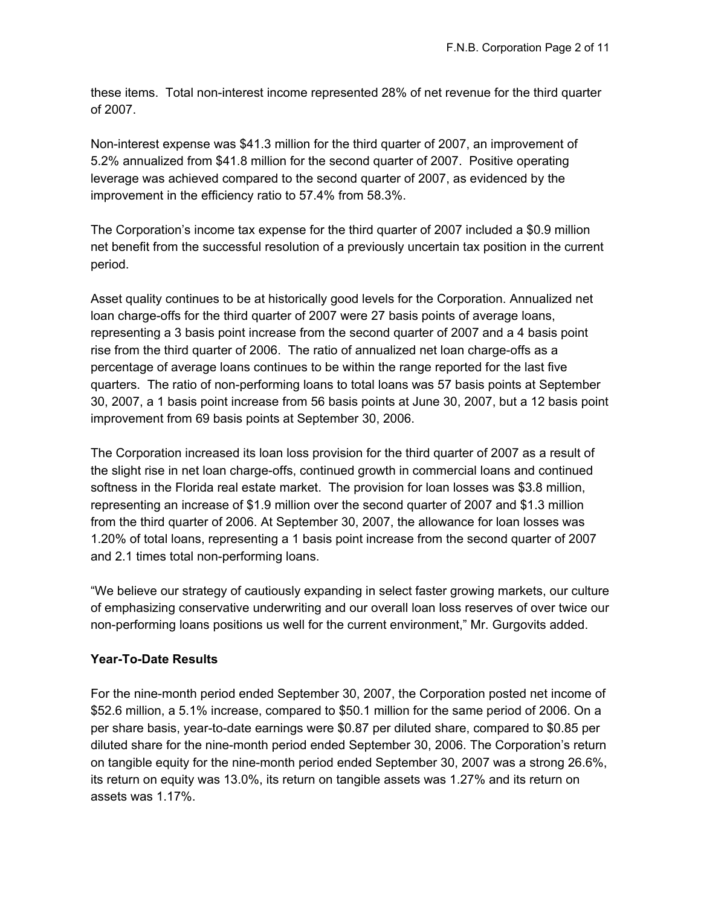these items. Total non-interest income represented 28% of net revenue for the third quarter of 2007.

Non-interest expense was \$41.3 million for the third quarter of 2007, an improvement of 5.2% annualized from \$41.8 million for the second quarter of 2007. Positive operating leverage was achieved compared to the second quarter of 2007, as evidenced by the improvement in the efficiency ratio to 57.4% from 58.3%.

The Corporation's income tax expense for the third quarter of 2007 included a \$0.9 million net benefit from the successful resolution of a previously uncertain tax position in the current period.

Asset quality continues to be at historically good levels for the Corporation. Annualized net loan charge-offs for the third quarter of 2007 were 27 basis points of average loans, representing a 3 basis point increase from the second quarter of 2007 and a 4 basis point rise from the third quarter of 2006. The ratio of annualized net loan charge-offs as a percentage of average loans continues to be within the range reported for the last five quarters. The ratio of non-performing loans to total loans was 57 basis points at September 30, 2007, a 1 basis point increase from 56 basis points at June 30, 2007, but a 12 basis point improvement from 69 basis points at September 30, 2006.

The Corporation increased its loan loss provision for the third quarter of 2007 as a result of the slight rise in net loan charge-offs, continued growth in commercial loans and continued softness in the Florida real estate market. The provision for loan losses was \$3.8 million, representing an increase of \$1.9 million over the second quarter of 2007 and \$1.3 million from the third quarter of 2006. At September 30, 2007, the allowance for loan losses was 1.20% of total loans, representing a 1 basis point increase from the second quarter of 2007 and 2.1 times total non-performing loans.

"We believe our strategy of cautiously expanding in select faster growing markets, our culture of emphasizing conservative underwriting and our overall loan loss reserves of over twice our non-performing loans positions us well for the current environment," Mr. Gurgovits added.

# **Year-To-Date Results**

For the nine-month period ended September 30, 2007, the Corporation posted net income of \$52.6 million, a 5.1% increase, compared to \$50.1 million for the same period of 2006. On a per share basis, year-to-date earnings were \$0.87 per diluted share, compared to \$0.85 per diluted share for the nine-month period ended September 30, 2006. The Corporation's return on tangible equity for the nine-month period ended September 30, 2007 was a strong 26.6%, its return on equity was 13.0%, its return on tangible assets was 1.27% and its return on assets was 1.17%.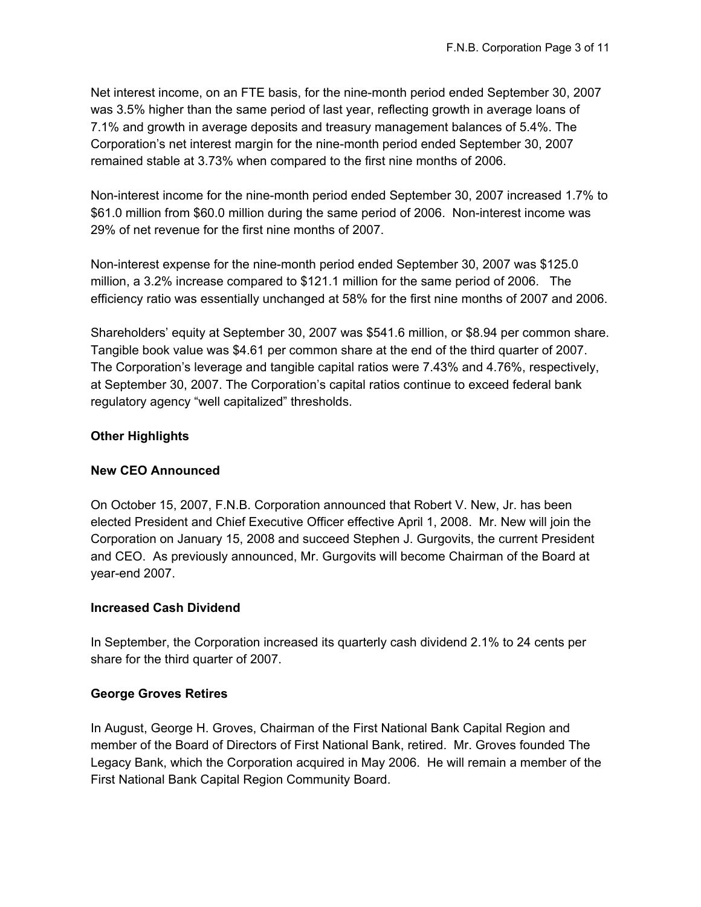Net interest income, on an FTE basis, for the nine-month period ended September 30, 2007 was 3.5% higher than the same period of last year, reflecting growth in average loans of 7.1% and growth in average deposits and treasury management balances of 5.4%. The Corporation's net interest margin for the nine-month period ended September 30, 2007 remained stable at 3.73% when compared to the first nine months of 2006.

Non-interest income for the nine-month period ended September 30, 2007 increased 1.7% to \$61.0 million from \$60.0 million during the same period of 2006. Non-interest income was 29% of net revenue for the first nine months of 2007.

Non-interest expense for the nine-month period ended September 30, 2007 was \$125.0 million, a 3.2% increase compared to \$121.1 million for the same period of 2006. The efficiency ratio was essentially unchanged at 58% for the first nine months of 2007 and 2006.

Shareholders' equity at September 30, 2007 was \$541.6 million, or \$8.94 per common share. Tangible book value was \$4.61 per common share at the end of the third quarter of 2007. The Corporation's leverage and tangible capital ratios were 7.43% and 4.76%, respectively, at September 30, 2007. The Corporation's capital ratios continue to exceed federal bank regulatory agency "well capitalized" thresholds.

# **Other Highlights**

## **New CEO Announced**

On October 15, 2007, F.N.B. Corporation announced that Robert V. New, Jr. has been elected President and Chief Executive Officer effective April 1, 2008. Mr. New will join the Corporation on January 15, 2008 and succeed Stephen J. Gurgovits, the current President and CEO. As previously announced, Mr. Gurgovits will become Chairman of the Board at year-end 2007.

## **Increased Cash Dividend**

In September, the Corporation increased its quarterly cash dividend 2.1% to 24 cents per share for the third quarter of 2007.

## **George Groves Retires**

In August, George H. Groves, Chairman of the First National Bank Capital Region and member of the Board of Directors of First National Bank, retired. Mr. Groves founded The Legacy Bank, which the Corporation acquired in May 2006. He will remain a member of the First National Bank Capital Region Community Board.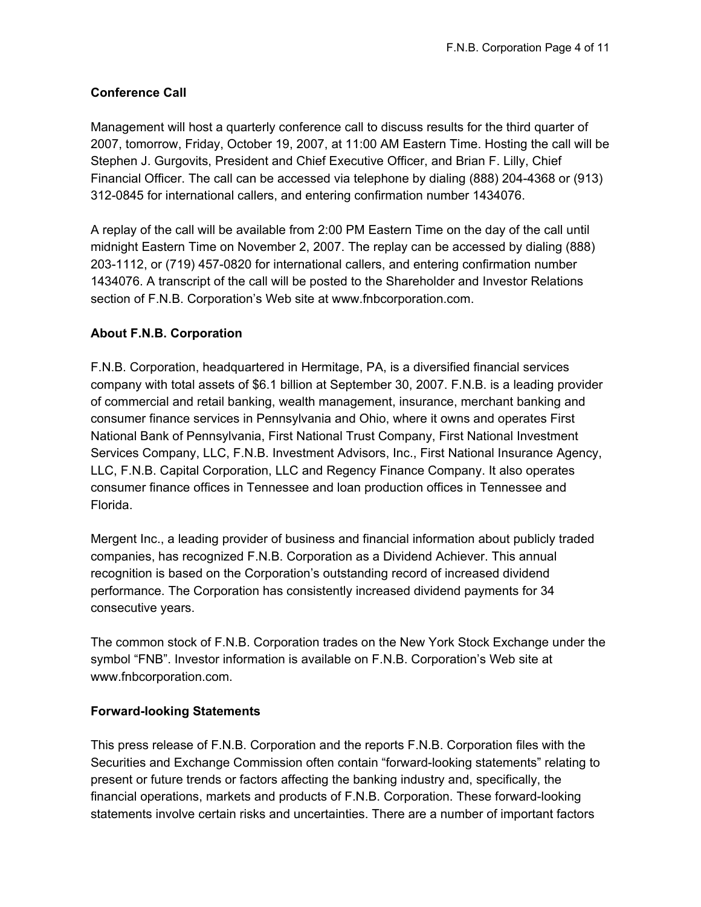# **Conference Call**

Management will host a quarterly conference call to discuss results for the third quarter of 2007, tomorrow, Friday, October 19, 2007, at 11:00 AM Eastern Time. Hosting the call will be Stephen J. Gurgovits, President and Chief Executive Officer, and Brian F. Lilly, Chief Financial Officer. The call can be accessed via telephone by dialing (888) 204-4368 or (913) 312-0845 for international callers, and entering confirmation number 1434076.

A replay of the call will be available from 2:00 PM Eastern Time on the day of the call until midnight Eastern Time on November 2, 2007. The replay can be accessed by dialing (888) 203-1112, or (719) 457-0820 for international callers, and entering confirmation number 1434076. A transcript of the call will be posted to the Shareholder and Investor Relations section of F.N.B. Corporation's Web site at www.fnbcorporation.com.

# **About F.N.B. Corporation**

F.N.B. Corporation, headquartered in Hermitage, PA, is a diversified financial services company with total assets of \$6.1 billion at September 30, 2007. F.N.B. is a leading provider of commercial and retail banking, wealth management, insurance, merchant banking and consumer finance services in Pennsylvania and Ohio, where it owns and operates First National Bank of Pennsylvania, First National Trust Company, First National Investment Services Company, LLC, F.N.B. Investment Advisors, Inc., First National Insurance Agency, LLC, F.N.B. Capital Corporation, LLC and Regency Finance Company. It also operates consumer finance offices in Tennessee and loan production offices in Tennessee and Florida.

Mergent Inc., a leading provider of business and financial information about publicly traded companies, has recognized F.N.B. Corporation as a Dividend Achiever. This annual recognition is based on the Corporation's outstanding record of increased dividend performance. The Corporation has consistently increased dividend payments for 34 consecutive years.

The common stock of F.N.B. Corporation trades on the New York Stock Exchange under the symbol "FNB". Investor information is available on F.N.B. Corporation's Web site at www.fnbcorporation.com.

## **Forward-looking Statements**

This press release of F.N.B. Corporation and the reports F.N.B. Corporation files with the Securities and Exchange Commission often contain "forward-looking statements" relating to present or future trends or factors affecting the banking industry and, specifically, the financial operations, markets and products of F.N.B. Corporation. These forward-looking statements involve certain risks and uncertainties. There are a number of important factors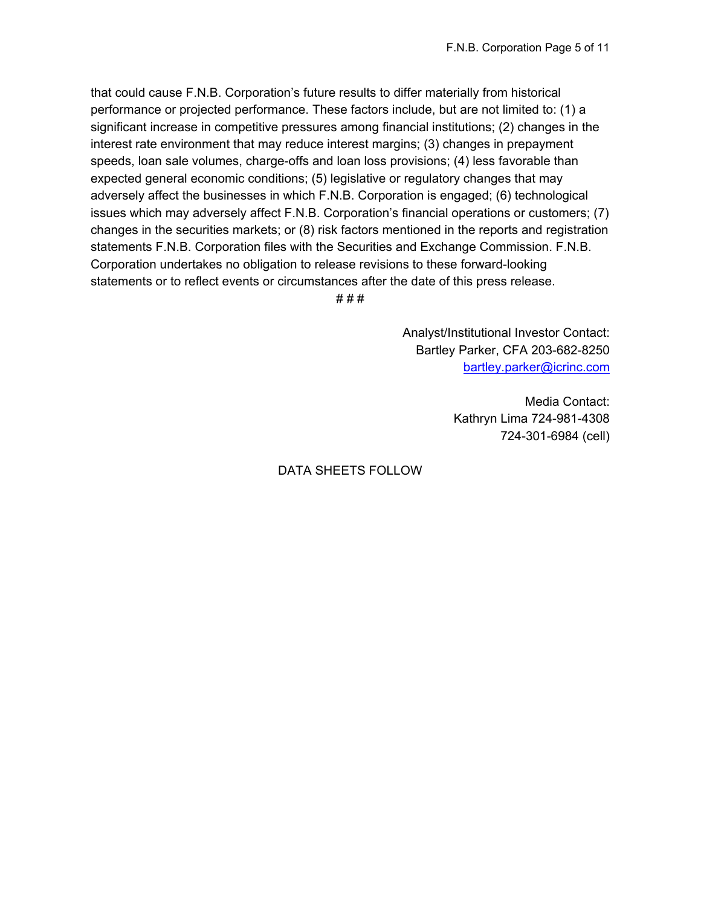that could cause F.N.B. Corporation's future results to differ materially from historical performance or projected performance. These factors include, but are not limited to: (1) a significant increase in competitive pressures among financial institutions; (2) changes in the interest rate environment that may reduce interest margins; (3) changes in prepayment speeds, loan sale volumes, charge-offs and loan loss provisions; (4) less favorable than expected general economic conditions; (5) legislative or regulatory changes that may adversely affect the businesses in which F.N.B. Corporation is engaged; (6) technological issues which may adversely affect F.N.B. Corporation's financial operations or customers; (7) changes in the securities markets; or (8) risk factors mentioned in the reports and registration statements F.N.B. Corporation files with the Securities and Exchange Commission. F.N.B. Corporation undertakes no obligation to release revisions to these forward-looking statements or to reflect events or circumstances after the date of this press release.

# # #

Analyst/Institutional Investor Contact: Bartley Parker, CFA 203-682-8250 bartley.parker@icrinc.com

> Media Contact: Kathryn Lima 724-981-4308 724-301-6984 (cell)

DATA SHEETS FOLLOW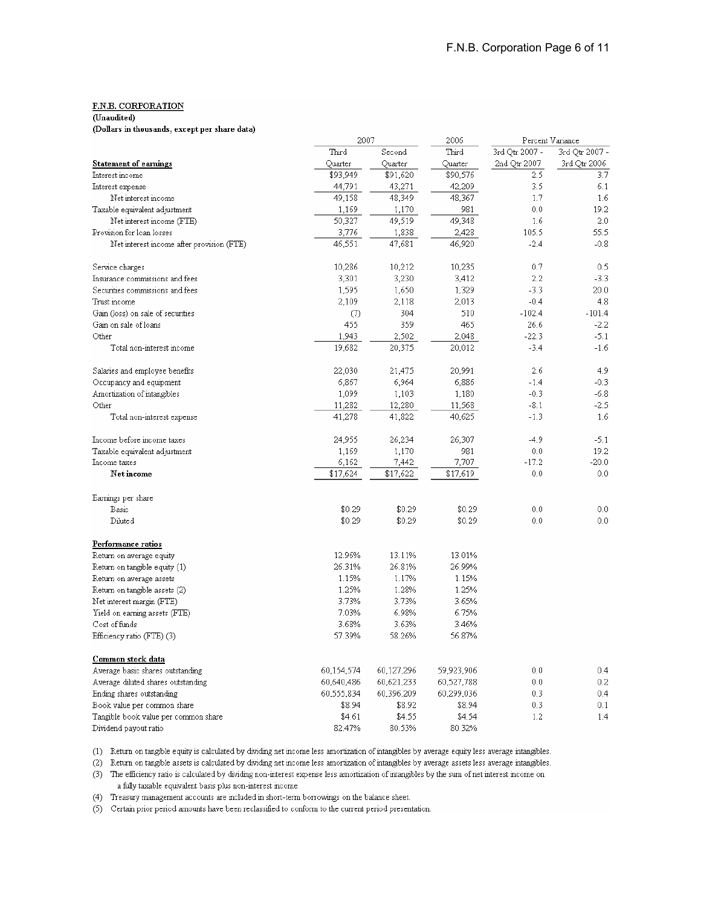#### (Unaudited)

(Dollars in thousands, except per share data)

|                                           | 2007       |            | 2006       |                | Percent Variance |
|-------------------------------------------|------------|------------|------------|----------------|------------------|
|                                           | Third      | Second     | Third      | 3rd Qtr 2007 - | 3rd Qtr 2007 -   |
| <b>Statement of earnings</b>              | Quarter    | Quarter    | Quarter    | 2nd Qtr 2007   | 3rd Qtr 2006     |
| Interest income                           | \$93,949   | \$91,620   | \$90,576   | 2.5            | 3.7              |
| Interest expense                          | 44,791     | 43,271     | 42,209     | 3.5            | 6.1              |
| Net interest income                       | 49,158     | 48,349     | 48,367     | 1.7            | 1.6              |
| Taxable equivalent adjustment             | 1,169      | 1,170      | 981        | 0.0            | 19.2             |
| Net interest income (FTE)                 | 50,327     | 49,519     | 49,348     | 1.6            | 2.0              |
| Provision for loan losses                 | 3,776      | 1,838      | 2,428      | 105.5          | 55.5             |
| Net interest income after provision (FTE) | 46,551     | 47,681     | 46,920     | $-2.4$         | $-0.8$           |
| Service charges                           | 10,286     | 10,212     | 10,235     | 0.7            | 0.5              |
| Insurance commissions and fees            | 3,301      | 3,230      | 3,412      | 2.2            | $-3.3$           |
| Securities commissions and fees           | 1,595      | 1,650      | 1,329      | $-3.3$         | 20.0             |
| Trust income                              | 2,109      | 2,118      | 2,013      | $-0.4$         | 4.8              |
| Gain (loss) on sale of securities         | (7)        | 304        | 510        | $-102.4$       | $-101.4$         |
| Gain on sale of loans                     | 455        | 359        | 465        | 26.6           | $-2.2$           |
| Other                                     | 1.943      | 2,502      | 2.048      | $-22.3$        | $-5.1$           |
| Total non-interest income                 | 19,682     | 20,375     | 20,012     | $-3.4$         | $-1.6$           |
| Salaries and employee benefits            | 22,030     | 21,475     | 20,991     | 2.6            | 4.9              |
| Occupancy and equipment                   | 6,867      | 6,964      | 6,886      | $-1.4$         | $-0.3$           |
| Amortization of intangibles               | 1,099      | 1,103      | 1,180      | $-0.3$         | $-6.8$           |
| Other                                     | 11,282     | 12,280     | 11,568     | $-8.1$         | -2.5             |
| Total non-interest expense                | 41,278     | 41,822     | 40,625     | $-1.3$         | 1.6              |
| Income before income taxes                | 24,955     | 26,234     | 26,307     | $-4.9$         | -5.1             |
| Taxable equivalent adjustment             | 1,169      | 1,170      | 981        | 0.0            | 19.2             |
| Income taxes                              | 6,162      | 7,442      | 7,707      | $-17.2$        | $-20.0$          |
| Net income                                | \$17,624   | \$17,622   | \$17,619   | 0.0            | 0.0              |
| Earnings per share                        |            |            |            |                |                  |
| Basic                                     | \$0.29     | \$0.29     | \$0.29     | 0.0            | 0.0              |
| Diluted                                   | \$0.29     | \$0.29     | \$0.29     | 0.0            | 0.0              |
| Performance ratios                        |            |            |            |                |                  |
| Return on average equity                  | 12.96%     | 13.11%     | 13.01%     |                |                  |
| Return on tangible equity (1)             | 26.31%     | 26.81%     | 26.99%     |                |                  |
| Return on average assets                  | 1.15%      | 1.17%      | 1.15%      |                |                  |
| Return on tangible assets (2)             | 1.25%      | 1.28%      | 1.25%      |                |                  |
| Net interest margin (FTE)                 | 3.73%      | 3.73%      | 3.65%      |                |                  |
| Yield on earning assets (FTE)             | 7.03%      | 6.98%      | 6.75%      |                |                  |
| Cost of funds                             | 3.68%      | 3.63%      | 3.46%      |                |                  |
| Efficiency ratio (FTE) (3)                | 57.39%     | 58.26%     | 56.87%     |                |                  |
| Common stock data                         |            |            |            |                |                  |
| Average basic shares outstanding          | 60,154,574 | 60,127,296 | 59,923,906 | 0.0            | 0.4              |
| Average diluted shares outstanding        | 60,640,486 | 60,621,233 | 60,527,788 | 0.0            | 0.2              |
| Ending shares outstanding                 | 60,555,834 | 60,396,209 | 60,299,036 | 0.3            | 0.4              |
| Book value per common share               | \$8.94     | \$8.92     | \$8.94     | 0.3            | 0.1              |
| Tangible book value per common share      | \$4.61     | \$4.55     | \$4.54     | 1.2            | 1.4              |
| Dividend payout ratio                     | 82.47%     | 80.53%     | 80.32%     |                |                  |

(1) Return on tangible equity is calculated by dividing net income less amortization of intangibles by average equity less average intangibles.

(2) Return on tangible assets is calculated by dividing net income less amortization of intangibles by average assets less average intangibles.

(3) The efficiency ratio is calculated by dividing non-interest expense less amortization of intangibles by the sum of net interest income on a fully taxable equivalent basis plus non-interest income.

(4) Treasury management accounts are included in short-term borrowings on the balance sheet.

 $\mbox{(5)}$   $\mbox{~Certain}$  prior period amounts have been reclassified to conform to the current period presentation.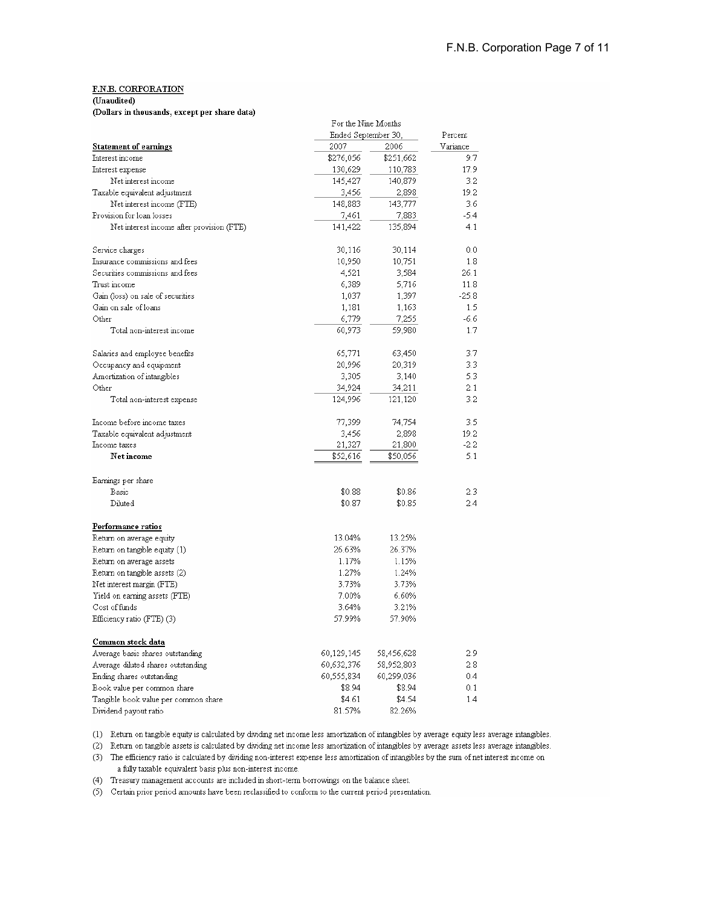### (Unaudited)

(Dollars in thousands, except per share data)

|                                           | For the Nine Months | Percent    |          |
|-------------------------------------------|---------------------|------------|----------|
|                                           | Ended September 30, |            |          |
| <b>Statement of earnings</b>              | 2007                | 2006       | Variance |
| Interest income                           | \$276,056           | \$251,662  | 9.7      |
| Interest expense                          | 130,629             | 110,783    | 17.9     |
| Net interest income                       | 145,427             | 140,879    | 3.2      |
| Taxable equivalent adjustment             | 3,456               | 2,898      | 19.2     |
| Net interest income (FTE)                 | 148,883             | 143,777    | 3.6      |
| Provision for loan losses                 | 7,461               | 7,883      | -5.4     |
| Net interest income after provision (FTE) | 141,422             | 135,894    | 4.1      |
| Service charges                           | 30,116              | 30,114     | 0.0      |
| Insurance commissions and fees            | 10,950              | 10,751     | 1.8      |
| Securities commissions and fees           | 4,521               | 3,584      | 26.1     |
| Trust income                              | 6,389               | 5,716      | 11.8     |
| Gain (loss) on sale of securities         | 1,037               | 1,397      | $-25.8$  |
| Gain on sale of loans                     | 1,181               | 1,163      | 1.5      |
| Other                                     | 6,779               | 7,255      | $-6.6$   |
| Total non-interest income                 | 60,973              | 59,980     | 1.7      |
| Salaries and employee benefits            | 65,771              | 63,450     | 3.7      |
| Occupancy and equipment                   | 20,996              | 20,319     | 3.3      |
| Amortization of intangibles               | 3,305               | 3,140      | 5.3      |
| Other                                     | 34,924              | 34,211     | 2.1      |
| Total non-interest expense                | 124,996             | 121,120    | 3.2      |
| Income before income taxes                | 77,399              | 74,754     | 3.5      |
| Taxable equivalent adjustment             | 3,456               | 2,898      | 19.2     |
| Income taxes                              | 21,327              | 21,800     | -2.2     |
| Net income                                | \$52,616            | \$50,056   | 5.1      |
| Earnings per share                        |                     |            |          |
| Basic                                     | \$0.88              | \$0.86     | 2.3      |
| Diluted                                   | \$0.87              | \$0.85     | 2.4      |
| Performance ratios                        |                     |            |          |
| Return on average equity                  | 13.04%              | 13.25%     |          |
| Return on tangible equity (1)             | 26.63%              | 26.37%     |          |
| Return on average assets                  | 1.17%               | 1.15%      |          |
| Return on tangible assets (2)             | 1.27%               | 1.24%      |          |
| Net interest margin (FTE)                 | 3.73%               | 3.73%      |          |
| Yield on earning assets (FTE)             | 7.00%               | 6.60%      |          |
| Cost of funds                             | 3.64%               | 3.21%      |          |
| Efficiency ratio (FTE) (3)                | 57.99%              | 57.90%     |          |
| Common stock data                         |                     |            |          |
| Average basic shares outstanding          | 60,129,145          | 58,456,628 | 2.9      |
| Average diluted shares outstanding        | 60,632,376          | 58,952,803 | 2.8      |
| Ending shares outstanding                 | 60,555,834          | 60,299,036 | 0.4      |
| Book value per common share               | \$8.94              | \$8.94     | 0.1      |
| Tangible book value per common share      | \$4.61              | \$4.54     | 1.4      |
| Dividend payout ratio                     | 81.57%              | 82.26%     |          |
|                                           |                     |            |          |

 $\alpha$  and  $\alpha$  and  $\alpha$ 

(1) Return on tangible equity is calculated by dividing net income less amortization of intangibles by average equity less average intangibles.

(2) Return on tangible assets is calculated by dividing net income less amortization of intangibles by average assets less average intangibles.

(3) The efficiency ratio is calculated by dividing non-interest expense less amortization of intangibles by the sum of net interest income on a fully taxable equivalent basis plus non-interest income.

(4) Treasury management accounts are included in short-term borrowings on the balance sheet.

(5) Certain prior period amounts have been reclassified to conform to the current period presentation.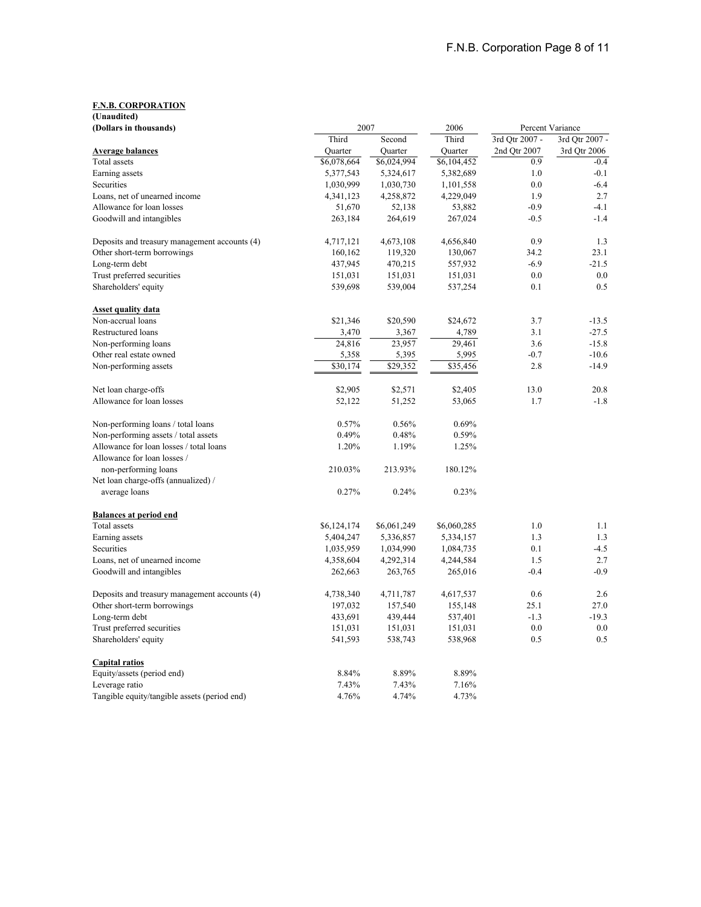| (Unaudited)                                   |             |             |             |                |                  |
|-----------------------------------------------|-------------|-------------|-------------|----------------|------------------|
| (Dollars in thousands)                        | 2007        |             | 2006        |                | Percent Variance |
|                                               | Third       | Second      | Third       | 3rd Qtr 2007 - | 3rd Qtr 2007 -   |
| <b>Average balances</b>                       | Ouarter     | Ouarter     | Ouarter     | 2nd Qtr 2007   | 3rd Qtr 2006     |
| Total assets                                  | \$6,078,664 | \$6,024,994 | \$6,104,452 | 0.9            | $-0.4$           |
| Earning assets                                | 5,377,543   | 5,324,617   | 5,382,689   | 1.0            | $-0.1$           |
| Securities                                    | 1,030,999   | 1,030,730   | 1,101,558   | 0.0            | $-6.4$           |
| Loans, net of unearned income                 | 4,341,123   | 4,258,872   | 4,229,049   | 1.9            | 2.7<br>$-4.1$    |
| Allowance for loan losses                     | 51,670      | 52,138      | 53,882      | $-0.9$         | $-1.4$           |
| Goodwill and intangibles                      | 263,184     | 264,619     | 267,024     | $-0.5$         |                  |
| Deposits and treasury management accounts (4) | 4,717,121   | 4,673,108   | 4,656,840   | 0.9            | 1.3              |
| Other short-term borrowings                   | 160,162     | 119,320     | 130,067     | 34.2           | 23.1             |
| Long-term debt                                | 437,945     | 470,215     | 557,932     | $-6.9$         | $-21.5$          |
| Trust preferred securities                    | 151,031     | 151,031     | 151,031     | 0.0            | 0.0              |
| Shareholders' equity                          | 539,698     | 539,004     | 537,254     | 0.1            | 0.5              |
| <b>Asset quality data</b>                     |             |             |             |                |                  |
| Non-accrual loans                             | \$21,346    | \$20,590    | \$24,672    | 3.7            | $-13.5$          |
| Restructured loans                            | 3,470       | 3,367       | 4,789       | 3.1            | $-27.5$          |
| Non-performing loans                          | 24,816      | 23,957      | 29,461      | 3.6            | $-15.8$          |
| Other real estate owned                       | 5,358       | 5,395       | 5,995       | $-0.7$         | $-10.6$          |
| Non-performing assets                         | \$30,174    | \$29,352    | \$35,456    | 2.8            | $-14.9$          |
| Net loan charge-offs                          | \$2,905     | \$2,571     | \$2,405     | 13.0           | 20.8             |
| Allowance for loan losses                     | 52,122      | 51,252      | 53,065      | 1.7            | $-1.8$           |
| Non-performing loans / total loans            | 0.57%       | 0.56%       | 0.69%       |                |                  |
| Non-performing assets / total assets          | 0.49%       | 0.48%       | 0.59%       |                |                  |
| Allowance for loan losses / total loans       | 1.20%       | 1.19%       | 1.25%       |                |                  |
| Allowance for loan losses /                   |             |             |             |                |                  |
| non-performing loans                          | 210.03%     | 213.93%     | 180.12%     |                |                  |
| Net loan charge-offs (annualized) /           |             |             |             |                |                  |
| average loans                                 | 0.27%       | 0.24%       | 0.23%       |                |                  |
| <b>Balances at period end</b>                 |             |             |             |                |                  |
| Total assets                                  | \$6,124,174 | \$6,061,249 | \$6,060,285 | 1.0            | 1.1              |
| Earning assets                                | 5,404,247   | 5,336,857   | 5,334,157   | 1.3            | 1.3              |
| Securities                                    | 1,035,959   | 1,034,990   | 1,084,735   | 0.1            | $-4.5$           |
| Loans, net of unearned income                 | 4,358,604   | 4,292,314   | 4,244,584   | 1.5            | 2.7              |
| Goodwill and intangibles                      | 262,663     | 263,765     | 265,016     | $-0.4$         | $-0.9$           |
| Deposits and treasury management accounts (4) | 4,738,340   | 4,711,787   | 4,617,537   | 0.6            | 2.6              |
| Other short-term borrowings                   | 197,032     | 157,540     | 155,148     | 25.1           | 27.0             |
| Long-term debt                                | 433,691     | 439,444     | 537,401     | $-1.3$         | $-19.3$          |
| Trust preferred securities                    | 151,031     | 151,031     | 151,031     | 0.0            | 0.0              |
| Shareholders' equity                          | 541,593     | 538,743     | 538,968     | 0.5            | 0.5              |
| Capital ratios                                |             |             |             |                |                  |
| Equity/assets (period end)                    | 8.84%       | 8.89%       | 8.89%       |                |                  |
| Leverage ratio                                | 7.43%       | 7.43%       | 7.16%       |                |                  |
| Tangible equity/tangible assets (period end)  | 4.76%       | 4.74%       | 4.73%       |                |                  |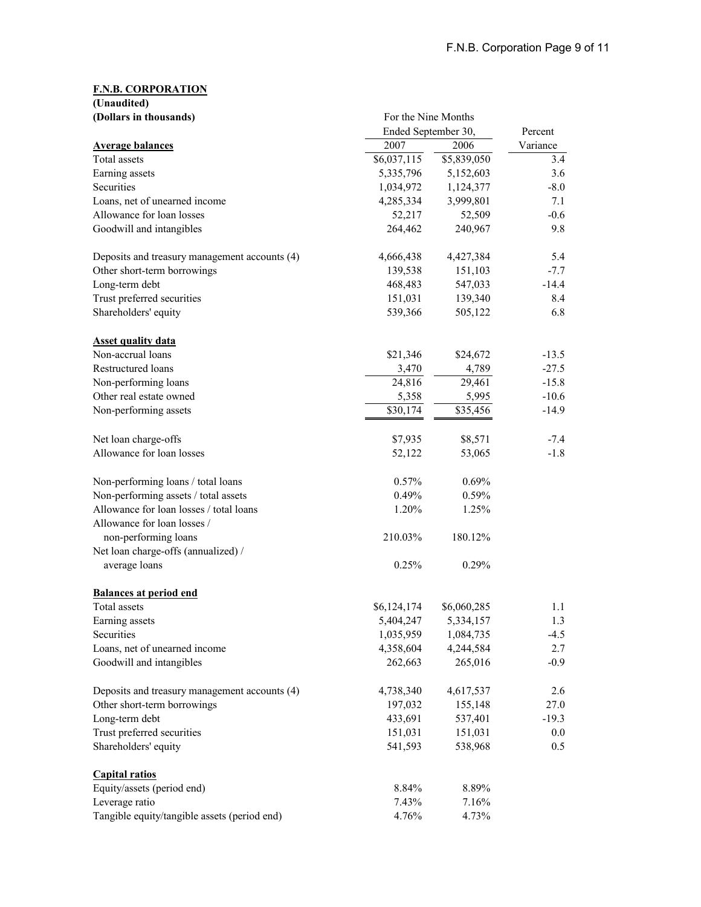|            | (Unaudited) |  |
|------------|-------------|--|
| $\sqrt{2}$ |             |  |

| (Dollars in thousands)                        | For the Nine Months |             |          |
|-----------------------------------------------|---------------------|-------------|----------|
|                                               | Ended September 30, | Percent     |          |
| <b>Average balances</b>                       | 2007                | 2006        | Variance |
| Total assets                                  | \$6,037,115         | \$5,839,050 | 3.4      |
| Earning assets                                | 5,335,796           | 5,152,603   | 3.6      |
| Securities                                    | 1,034,972           | 1,124,377   | $-8.0$   |
| Loans, net of unearned income                 | 4,285,334           | 3,999,801   | 7.1      |
| Allowance for loan losses                     | 52,217              | 52,509      | $-0.6$   |
| Goodwill and intangibles                      | 264,462             | 240,967     | 9.8      |
| Deposits and treasury management accounts (4) | 4,666,438           | 4,427,384   | 5.4      |
| Other short-term borrowings                   | 139,538             | 151,103     | $-7.7$   |
| Long-term debt                                | 468,483             | 547,033     | $-14.4$  |
| Trust preferred securities                    | 151,031             | 139,340     | 8.4      |
| Shareholders' equity                          | 539,366             | 505,122     | 6.8      |
| <b>Asset quality data</b>                     |                     |             |          |
| Non-accrual loans                             | \$21,346            | \$24,672    | $-13.5$  |
| Restructured loans                            | 3,470               | 4,789       | $-27.5$  |
| Non-performing loans                          | 24,816              | 29,461      | $-15.8$  |
| Other real estate owned                       | 5,358               | 5,995       | $-10.6$  |
| Non-performing assets                         | \$30,174            | \$35,456    | $-14.9$  |
| Net loan charge-offs                          | \$7,935             | \$8,571     | $-7.4$   |
| Allowance for loan losses                     | 52,122              | 53,065      | $-1.8$   |
| Non-performing loans / total loans            | 0.57%               | 0.69%       |          |
| Non-performing assets / total assets          | 0.49%               | 0.59%       |          |
| Allowance for loan losses / total loans       | 1.20%               | 1.25%       |          |
| Allowance for loan losses /                   |                     |             |          |
| non-performing loans                          | 210.03%             | 180.12%     |          |
| Net loan charge-offs (annualized) /           |                     |             |          |
| average loans                                 | 0.25%               | 0.29%       |          |
| <b>Balances at period end</b>                 |                     |             |          |
| Total assets                                  | \$6,124,174         | \$6,060,285 | 1.1      |
| Earning assets                                | 5,404,247           | 5.334.157   | 1.3      |
| Securities                                    | 1,035,959           | 1,084,735   | $-4.5$   |
| Loans, net of unearned income                 | 4,358,604           | 4,244,584   | 2.7      |
| Goodwill and intangibles                      | 262,663             | 265,016     | $-0.9$   |
| Deposits and treasury management accounts (4) | 4,738,340           | 4,617,537   | 2.6      |
| Other short-term borrowings                   | 197,032             | 155,148     | 27.0     |
| Long-term debt                                | 433,691             | 537,401     | $-19.3$  |
| Trust preferred securities                    | 151,031             | 151,031     | $0.0\,$  |
| Shareholders' equity                          | 541,593             | 538,968     | 0.5      |
| <b>Capital ratios</b>                         |                     |             |          |
| Equity/assets (period end)                    | 8.84%               | 8.89%       |          |
| Leverage ratio                                | 7.43%               | 7.16%       |          |
| Tangible equity/tangible assets (period end)  | 4.76%               | 4.73%       |          |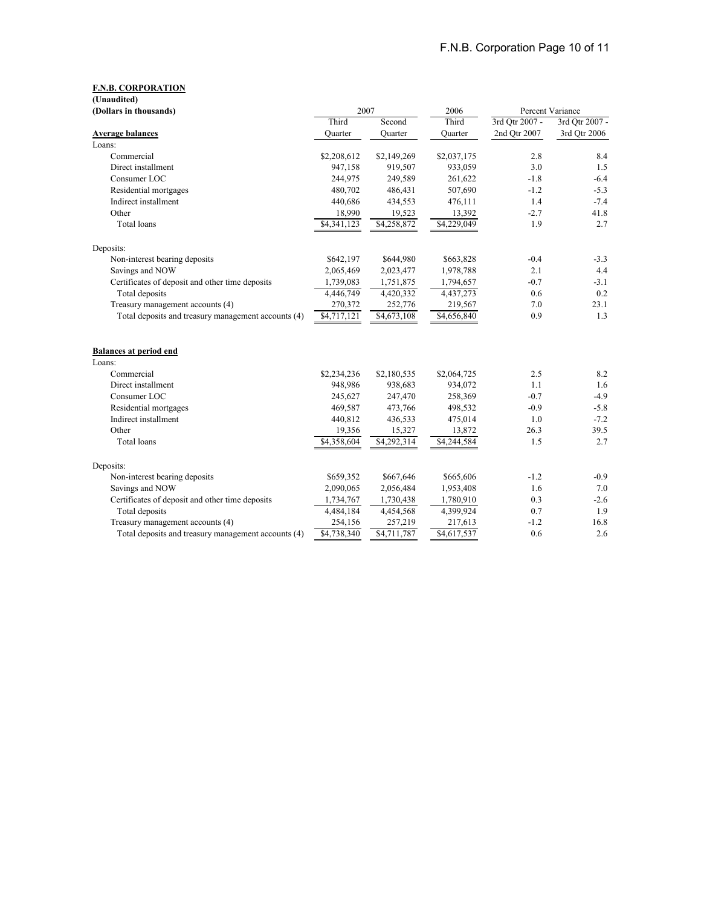| (Unaudited)                                         |             |             |             |                  |                |
|-----------------------------------------------------|-------------|-------------|-------------|------------------|----------------|
| (Dollars in thousands)                              | 2007        |             | 2006        | Percent Variance |                |
|                                                     | Third       | Second      | Third       | 3rd Otr 2007 -   | 3rd Otr 2007 - |
| <b>Average balances</b>                             | Quarter     | Ouarter     | Quarter     | 2nd Qtr 2007     | 3rd Qtr 2006   |
| Loans:                                              |             |             |             |                  |                |
| Commercial                                          | \$2,208,612 | \$2,149,269 | \$2,037,175 | 2.8              | 8.4            |
| Direct installment                                  | 947,158     | 919,507     | 933,059     | 3.0              | 1.5            |
| Consumer LOC                                        | 244,975     | 249,589     | 261,622     | $-1.8$           | $-6.4$         |
| Residential mortgages                               | 480,702     | 486,431     | 507,690     | $-1.2$           | $-5.3$         |
| Indirect installment                                | 440,686     | 434,553     | 476,111     | 1.4              | $-7.4$         |
| Other                                               | 18,990      | 19,523      | 13,392      | $-2.7$           | 41.8           |
| Total loans                                         | \$4,341,123 | \$4,258,872 | \$4,229,049 | 1.9              | 2.7            |
| Deposits:                                           |             |             |             |                  |                |
| Non-interest bearing deposits                       | \$642,197   | \$644,980   | \$663,828   | $-0.4$           | $-3.3$         |
| Savings and NOW                                     | 2,065,469   | 2,023,477   | 1,978,788   | 2.1              | 4.4            |
| Certificates of deposit and other time deposits     | 1,739,083   | 1,751,875   | 1,794,657   | $-0.7$           | $-3.1$         |
| Total deposits                                      | 4,446,749   | 4,420,332   | 4,437,273   | 0.6              | 0.2            |
| Treasury management accounts (4)                    | 270,372     | 252,776     | 219,567     | 7.0              | 23.1           |
| Total deposits and treasury management accounts (4) | \$4,717,121 | \$4,673,108 | \$4,656,840 | 0.9              | 1.3            |
| <b>Balances at period end</b>                       |             |             |             |                  |                |
| Loans:                                              |             |             |             |                  |                |
| Commercial                                          | \$2,234,236 | \$2,180,535 | \$2,064,725 | 2.5              | 8.2            |
| Direct installment                                  | 948,986     | 938,683     | 934,072     | 1.1              | 1.6            |
| Consumer LOC                                        | 245,627     | 247,470     | 258,369     | $-0.7$           | $-4.9$         |
| Residential mortgages                               | 469,587     | 473,766     | 498,532     | $-0.9$           | $-5.8$         |
| Indirect installment                                | 440,812     | 436,533     | 475,014     | 1.0              | $-7.2$         |
| Other                                               | 19,356      | 15,327      | 13,872      | 26.3             | 39.5           |
| <b>Total</b> loans                                  | \$4,358,604 | \$4,292,314 | \$4,244,584 | 1.5              | 2.7            |
| Deposits:                                           |             |             |             |                  |                |
| Non-interest bearing deposits                       | \$659,352   | \$667,646   | \$665,606   | $-1.2$           | $-0.9$         |
| Savings and NOW                                     | 2,090,065   | 2,056,484   | 1,953,408   | 1.6              | 7.0            |
| Certificates of deposit and other time deposits     | 1,734,767   | 1,730,438   | 1,780,910   | 0.3              | $-2.6$         |
| Total deposits                                      | 4,484,184   | 4,454,568   | 4,399,924   | 0.7              | 1.9            |
| Treasury management accounts (4)                    | 254,156     | 257,219     | 217,613     | $-1.2$           | 16.8           |
| Total deposits and treasury management accounts (4) | \$4,738,340 | \$4,711,787 | \$4,617,537 | 0.6              | 2.6            |